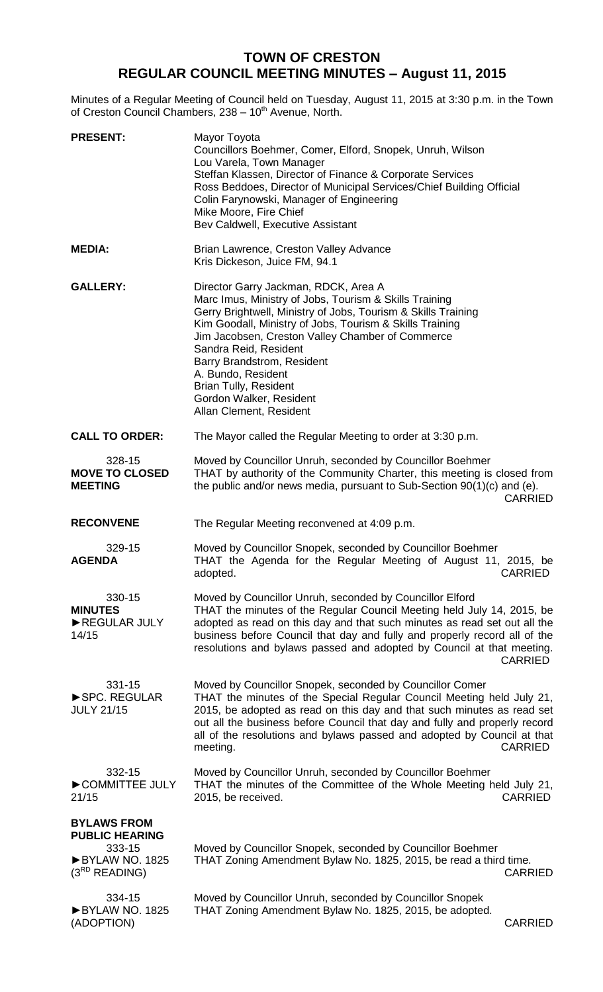## **TOWN OF CRESTON REGULAR COUNCIL MEETING MINUTES – August 11, 2015**

Minutes of a Regular Meeting of Council held on Tuesday, August 11, 2015 at 3:30 p.m. in the Town of Creston Council Chambers, 238 - 10<sup>th</sup> Avenue, North.

| <b>PRESENT:</b>                                                                               | Mayor Toyota<br>Councillors Boehmer, Comer, Elford, Snopek, Unruh, Wilson<br>Lou Varela, Town Manager<br>Steffan Klassen, Director of Finance & Corporate Services<br>Ross Beddoes, Director of Municipal Services/Chief Building Official<br>Colin Farynowski, Manager of Engineering<br>Mike Moore, Fire Chief<br>Bev Caldwell, Executive Assistant                                                                                              |
|-----------------------------------------------------------------------------------------------|----------------------------------------------------------------------------------------------------------------------------------------------------------------------------------------------------------------------------------------------------------------------------------------------------------------------------------------------------------------------------------------------------------------------------------------------------|
| <b>MEDIA:</b>                                                                                 | Brian Lawrence, Creston Valley Advance<br>Kris Dickeson, Juice FM, 94.1                                                                                                                                                                                                                                                                                                                                                                            |
| <b>GALLERY:</b>                                                                               | Director Garry Jackman, RDCK, Area A<br>Marc Imus, Ministry of Jobs, Tourism & Skills Training<br>Gerry Brightwell, Ministry of Jobs, Tourism & Skills Training<br>Kim Goodall, Ministry of Jobs, Tourism & Skills Training<br>Jim Jacobsen, Creston Valley Chamber of Commerce<br>Sandra Reid, Resident<br>Barry Brandstrom, Resident<br>A. Bundo, Resident<br><b>Brian Tully, Resident</b><br>Gordon Walker, Resident<br>Allan Clement, Resident |
| <b>CALL TO ORDER:</b>                                                                         | The Mayor called the Regular Meeting to order at 3:30 p.m.                                                                                                                                                                                                                                                                                                                                                                                         |
| 328-15<br><b>MOVE TO CLOSED</b><br><b>MEETING</b>                                             | Moved by Councillor Unruh, seconded by Councillor Boehmer<br>THAT by authority of the Community Charter, this meeting is closed from<br>the public and/or news media, pursuant to Sub-Section $90(1)(c)$ and (e).<br><b>CARRIED</b>                                                                                                                                                                                                                |
| <b>RECONVENE</b>                                                                              | The Regular Meeting reconvened at 4:09 p.m.                                                                                                                                                                                                                                                                                                                                                                                                        |
| 329-15<br><b>AGENDA</b>                                                                       | Moved by Councillor Snopek, seconded by Councillor Boehmer<br>THAT the Agenda for the Regular Meeting of August 11, 2015, be<br>adopted.<br><b>CARRIED</b>                                                                                                                                                                                                                                                                                         |
| 330-15<br><b>MINUTES</b><br>REGULAR JULY<br>14/15                                             | Moved by Councillor Unruh, seconded by Councillor Elford<br>THAT the minutes of the Regular Council Meeting held July 14, 2015, be<br>adopted as read on this day and that such minutes as read set out all the<br>business before Council that day and fully and properly record all of the<br>resolutions and bylaws passed and adopted by Council at that meeting.<br><b>CARRIED</b>                                                            |
| 331-15<br>SPC. REGULAR<br><b>JULY 21/15</b>                                                   | Moved by Councillor Snopek, seconded by Councillor Comer<br>THAT the minutes of the Special Regular Council Meeting held July 21,<br>2015, be adopted as read on this day and that such minutes as read set<br>out all the business before Council that day and fully and properly record<br>all of the resolutions and bylaws passed and adopted by Council at that<br><b>CARRIED</b><br>meeting.                                                 |
| 332-15<br>COMMITTEE JULY<br>21/15                                                             | Moved by Councillor Unruh, seconded by Councillor Boehmer<br>THAT the minutes of the Committee of the Whole Meeting held July 21,<br><b>CARRIED</b><br>2015, be received.                                                                                                                                                                                                                                                                          |
| <b>BYLAWS FROM</b><br><b>PUBLIC HEARING</b><br>333-15<br>BYLAW NO. 1825<br>$(3^{RD}$ READING) | Moved by Councillor Snopek, seconded by Councillor Boehmer<br>THAT Zoning Amendment Bylaw No. 1825, 2015, be read a third time.<br><b>CARRIED</b>                                                                                                                                                                                                                                                                                                  |
| 334-15                                                                                        | Moved by Councillor Unruh, seconded by Councillor Snopek                                                                                                                                                                                                                                                                                                                                                                                           |

►BYLAW NO. 1825 (ADOPTION)

THAT Zoning Amendment Bylaw No. 1825, 2015, be adopted.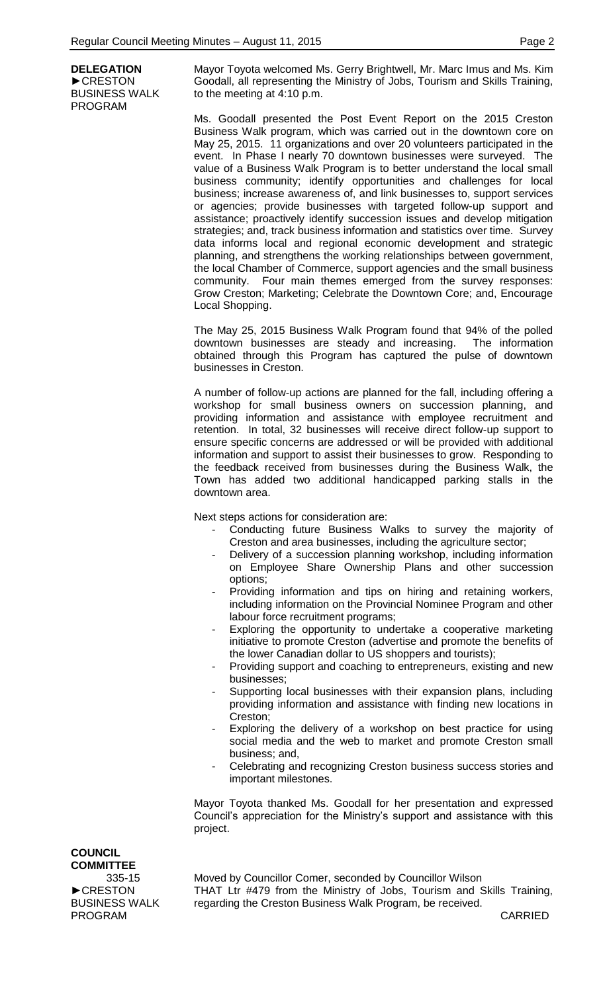**DELEGATION** ►CRESTON BUSINESS WALK PROGRAM

Mayor Toyota welcomed Ms. Gerry Brightwell, Mr. Marc Imus and Ms. Kim Goodall, all representing the Ministry of Jobs, Tourism and Skills Training, to the meeting at 4:10 p.m.

Ms. Goodall presented the Post Event Report on the 2015 Creston Business Walk program, which was carried out in the downtown core on May 25, 2015. 11 organizations and over 20 volunteers participated in the event. In Phase I nearly 70 downtown businesses were surveyed. The value of a Business Walk Program is to better understand the local small business community; identify opportunities and challenges for local business; increase awareness of, and link businesses to, support services or agencies; provide businesses with targeted follow-up support and assistance; proactively identify succession issues and develop mitigation strategies; and, track business information and statistics over time. Survey data informs local and regional economic development and strategic planning, and strengthens the working relationships between government, the local Chamber of Commerce, support agencies and the small business community. Four main themes emerged from the survey responses: Grow Creston; Marketing; Celebrate the Downtown Core; and, Encourage Local Shopping.

The May 25, 2015 Business Walk Program found that 94% of the polled downtown businesses are steady and increasing. The information obtained through this Program has captured the pulse of downtown businesses in Creston.

A number of follow-up actions are planned for the fall, including offering a workshop for small business owners on succession planning, and providing information and assistance with employee recruitment and retention. In total, 32 businesses will receive direct follow-up support to ensure specific concerns are addressed or will be provided with additional information and support to assist their businesses to grow. Responding to the feedback received from businesses during the Business Walk, the Town has added two additional handicapped parking stalls in the downtown area.

Next steps actions for consideration are:

- Conducting future Business Walks to survey the majority of Creston and area businesses, including the agriculture sector;
- Delivery of a succession planning workshop, including information on Employee Share Ownership Plans and other succession options;
- Providing information and tips on hiring and retaining workers, including information on the Provincial Nominee Program and other labour force recruitment programs;
- Exploring the opportunity to undertake a cooperative marketing initiative to promote Creston (advertise and promote the benefits of the lower Canadian dollar to US shoppers and tourists);
- Providing support and coaching to entrepreneurs, existing and new businesses;
- Supporting local businesses with their expansion plans, including providing information and assistance with finding new locations in Creston;
- Exploring the delivery of a workshop on best practice for using social media and the web to market and promote Creston small business; and,
- Celebrating and recognizing Creston business success stories and important milestones.

Mayor Toyota thanked Ms. Goodall for her presentation and expressed Council's appreciation for the Ministry's support and assistance with this project.

**COUNCIL COMMITTEE** 335-15 ►CRESTON BUSINESS WALK PROGRAM

Moved by Councillor Comer, seconded by Councillor Wilson THAT Ltr #479 from the Ministry of Jobs, Tourism and Skills Training, regarding the Creston Business Walk Program, be received.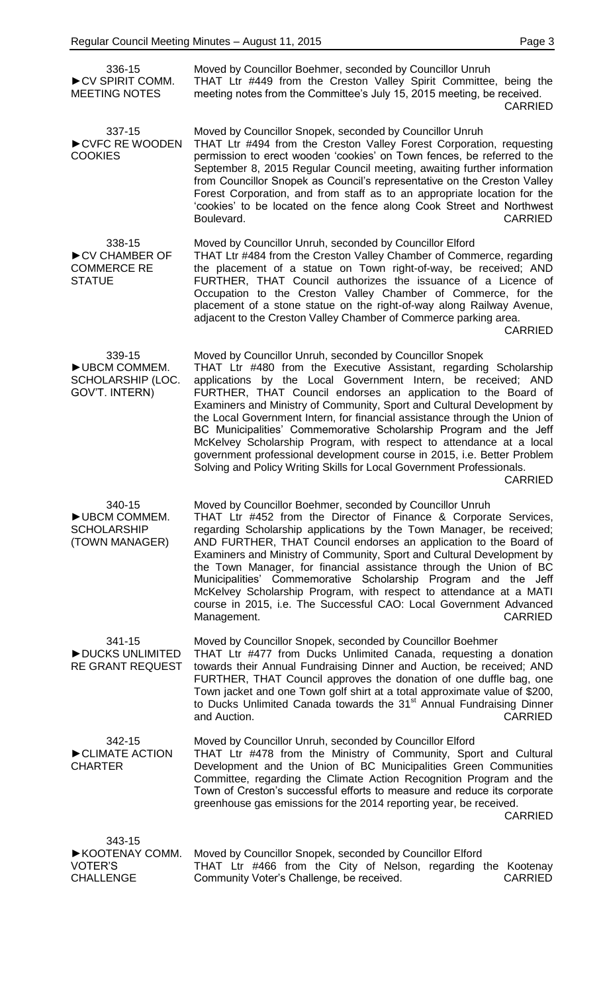| 336-15<br>CV SPIRIT COMM.<br><b>MEETING NOTES</b>                | Moved by Councillor Boehmer, seconded by Councillor Unruh<br>THAT Ltr #449 from the Creston Valley Spirit Committee, being the<br>meeting notes from the Committee's July 15, 2015 meeting, be received.<br><b>CARRIED</b>                                                                                                                                                                                                                                                                                                                                                                                                                                                                                                                |
|------------------------------------------------------------------|-------------------------------------------------------------------------------------------------------------------------------------------------------------------------------------------------------------------------------------------------------------------------------------------------------------------------------------------------------------------------------------------------------------------------------------------------------------------------------------------------------------------------------------------------------------------------------------------------------------------------------------------------------------------------------------------------------------------------------------------|
| 337-15<br>CVFC RE WOODEN<br><b>COOKIES</b>                       | Moved by Councillor Snopek, seconded by Councillor Unruh<br>THAT Ltr #494 from the Creston Valley Forest Corporation, requesting<br>permission to erect wooden 'cookies' on Town fences, be referred to the<br>September 8, 2015 Regular Council meeting, awaiting further information<br>from Councillor Snopek as Council's representative on the Creston Valley<br>Forest Corporation, and from staff as to an appropriate location for the<br>'cookies' to be located on the fence along Cook Street and Northwest<br>Boulevard.<br><b>CARRIED</b>                                                                                                                                                                                    |
| 338-15<br>CV CHAMBER OF<br><b>COMMERCE RE</b><br><b>STATUE</b>   | Moved by Councillor Unruh, seconded by Councillor Elford<br>THAT Ltr #484 from the Creston Valley Chamber of Commerce, regarding<br>the placement of a statue on Town right-of-way, be received; AND<br>FURTHER, THAT Council authorizes the issuance of a Licence of<br>Occupation to the Creston Valley Chamber of Commerce, for the<br>placement of a stone statue on the right-of-way along Railway Avenue,<br>adjacent to the Creston Valley Chamber of Commerce parking area.<br><b>CARRIED</b>                                                                                                                                                                                                                                     |
| 339-15<br>UBCM COMMEM.<br>SCHOLARSHIP (LOC.<br>GOV'T. INTERN)    | Moved by Councillor Unruh, seconded by Councillor Snopek<br>THAT Ltr #480 from the Executive Assistant, regarding Scholarship<br>applications by the Local Government Intern, be received; AND<br>FURTHER, THAT Council endorses an application to the Board of<br>Examiners and Ministry of Community, Sport and Cultural Development by<br>the Local Government Intern, for financial assistance through the Union of<br>BC Municipalities' Commemorative Scholarship Program and the Jeff<br>McKelvey Scholarship Program, with respect to attendance at a local<br>government professional development course in 2015, i.e. Better Problem<br>Solving and Policy Writing Skills for Local Government Professionals.<br><b>CARRIED</b> |
| 340-15<br>UBCM COMMEM.<br><b>SCHOLARSHIP</b><br>(TOWN MANAGER)   | Moved by Councillor Boehmer, seconded by Councillor Unruh<br>THAT Ltr #452 from the Director of Finance & Corporate Services,<br>regarding Scholarship applications by the Town Manager, be received;<br>AND FURTHER, THAT Council endorses an application to the Board of<br>Examiners and Ministry of Community, Sport and Cultural Development by<br>the Town Manager, for financial assistance through the Union of BC<br>Municipalities' Commemorative Scholarship Program and the Jeff<br>McKelvey Scholarship Program, with respect to attendance at a MATI<br>course in 2015, i.e. The Successful CAO: Local Government Advanced<br><b>CARRIED</b><br>Management.                                                                 |
| 341-15<br>DUCKS UNLIMITED<br><b>RE GRANT REQUEST</b>             | Moved by Councillor Snopek, seconded by Councillor Boehmer<br>THAT Ltr #477 from Ducks Unlimited Canada, requesting a donation<br>towards their Annual Fundraising Dinner and Auction, be received; AND<br>FURTHER, THAT Council approves the donation of one duffle bag, one<br>Town jacket and one Town golf shirt at a total approximate value of \$200,<br>to Ducks Unlimited Canada towards the 31 <sup>st</sup> Annual Fundraising Dinner<br><b>CARRIED</b><br>and Auction.                                                                                                                                                                                                                                                         |
| 342-15<br>CLIMATE ACTION<br><b>CHARTER</b>                       | Moved by Councillor Unruh, seconded by Councillor Elford<br>THAT Ltr #478 from the Ministry of Community, Sport and Cultural<br>Development and the Union of BC Municipalities Green Communities<br>Committee, regarding the Climate Action Recognition Program and the<br>Town of Creston's successful efforts to measure and reduce its corporate<br>greenhouse gas emissions for the 2014 reporting year, be received.<br><b>CARRIED</b>                                                                                                                                                                                                                                                                                               |
| 343-15<br>▶ KOOTENAY COMM.<br><b>VOTER'S</b><br><b>CHALLENGE</b> | Moved by Councillor Snopek, seconded by Councillor Elford<br>THAT Ltr #466 from the City of Nelson, regarding the Kootenay<br>Community Voter's Challenge, be received.<br><b>CARRIED</b>                                                                                                                                                                                                                                                                                                                                                                                                                                                                                                                                                 |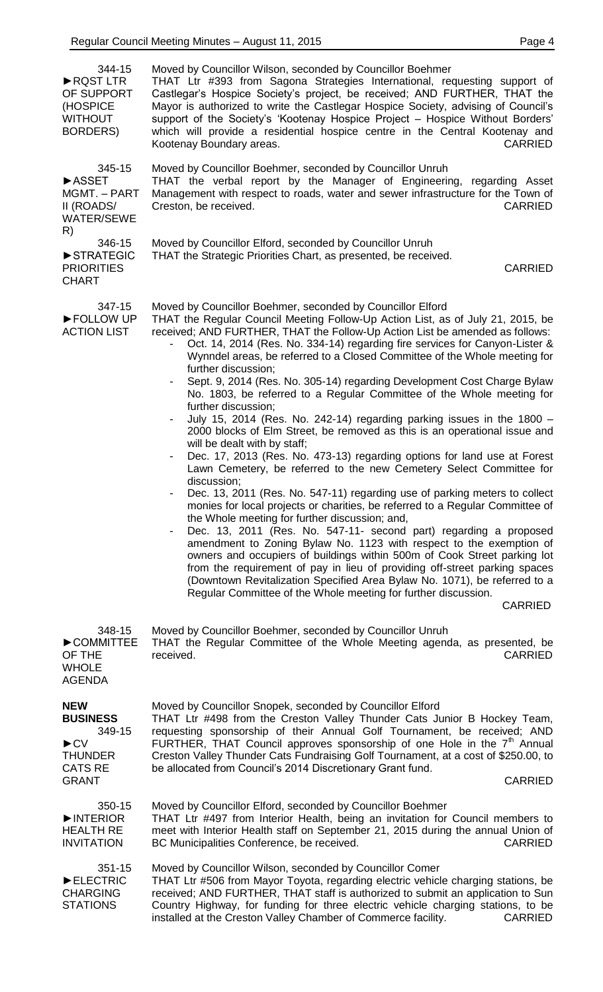| 344-15<br>RQST LTR<br>OF SUPPORT<br>(HOSPICE<br><b>WITHOUT</b><br><b>BORDERS)</b>                                       | Moved by Councillor Wilson, seconded by Councillor Boehmer<br>THAT Ltr #393 from Sagona Strategies International, requesting support of<br>Castlegar's Hospice Society's project, be received; AND FURTHER, THAT the<br>Mayor is authorized to write the Castlegar Hospice Society, advising of Council's<br>support of the Society's 'Kootenay Hospice Project - Hospice Without Borders'<br>which will provide a residential hospice centre in the Central Kootenay and<br>Kootenay Boundary areas.<br><b>CARRIED</b>                                                                                                                                                                                                                                                                                                                                                                                                                                                                                                                                                                                                                                                                                                                                                                                                                                                                                                                                                                                                                                                                                                                      |
|-------------------------------------------------------------------------------------------------------------------------|----------------------------------------------------------------------------------------------------------------------------------------------------------------------------------------------------------------------------------------------------------------------------------------------------------------------------------------------------------------------------------------------------------------------------------------------------------------------------------------------------------------------------------------------------------------------------------------------------------------------------------------------------------------------------------------------------------------------------------------------------------------------------------------------------------------------------------------------------------------------------------------------------------------------------------------------------------------------------------------------------------------------------------------------------------------------------------------------------------------------------------------------------------------------------------------------------------------------------------------------------------------------------------------------------------------------------------------------------------------------------------------------------------------------------------------------------------------------------------------------------------------------------------------------------------------------------------------------------------------------------------------------|
| 345-15<br><b>ASSET</b><br>MGMT. - PART<br>II (ROADS/<br><b>WATER/SEWE</b><br>R)                                         | Moved by Councillor Boehmer, seconded by Councillor Unruh<br>THAT the verbal report by the Manager of Engineering, regarding Asset<br>Management with respect to roads, water and sewer infrastructure for the Town of<br><b>CARRIED</b><br>Creston, be received.                                                                                                                                                                                                                                                                                                                                                                                                                                                                                                                                                                                                                                                                                                                                                                                                                                                                                                                                                                                                                                                                                                                                                                                                                                                                                                                                                                            |
| 346-15<br>STRATEGIC<br><b>PRIORITIES</b><br><b>CHART</b>                                                                | Moved by Councillor Elford, seconded by Councillor Unruh<br>THAT the Strategic Priorities Chart, as presented, be received.<br><b>CARRIED</b>                                                                                                                                                                                                                                                                                                                                                                                                                                                                                                                                                                                                                                                                                                                                                                                                                                                                                                                                                                                                                                                                                                                                                                                                                                                                                                                                                                                                                                                                                                |
| 347-15<br>FOLLOW UP<br><b>ACTION LIST</b>                                                                               | Moved by Councillor Boehmer, seconded by Councillor Elford<br>THAT the Regular Council Meeting Follow-Up Action List, as of July 21, 2015, be<br>received; AND FURTHER, THAT the Follow-Up Action List be amended as follows:<br>Oct. 14, 2014 (Res. No. 334-14) regarding fire services for Canyon-Lister &<br>Wynndel areas, be referred to a Closed Committee of the Whole meeting for<br>further discussion;<br>Sept. 9, 2014 (Res. No. 305-14) regarding Development Cost Charge Bylaw<br>No. 1803, be referred to a Regular Committee of the Whole meeting for<br>further discussion;<br>July 15, 2014 (Res. No. 242-14) regarding parking issues in the 1800 -<br>2000 blocks of Elm Street, be removed as this is an operational issue and<br>will be dealt with by staff;<br>Dec. 17, 2013 (Res. No. 473-13) regarding options for land use at Forest<br>Lawn Cemetery, be referred to the new Cemetery Select Committee for<br>discussion;<br>Dec. 13, 2011 (Res. No. 547-11) regarding use of parking meters to collect<br>monies for local projects or charities, be referred to a Regular Committee of<br>the Whole meeting for further discussion; and,<br>Dec. 13, 2011 (Res. No. 547-11- second part) regarding a proposed<br>amendment to Zoning Bylaw No. 1123 with respect to the exemption of<br>owners and occupiers of buildings within 500m of Cook Street parking lot<br>from the requirement of pay in lieu of providing off-street parking spaces<br>(Downtown Revitalization Specified Area Bylaw No. 1071), be referred to a<br>Regular Committee of the Whole meeting for further discussion.<br><b>CARRIED</b> |
| 348-15<br>COMMITTEE<br>OF THE<br><b>WHOLE</b><br><b>AGENDA</b>                                                          | Moved by Councillor Boehmer, seconded by Councillor Unruh<br>THAT the Regular Committee of the Whole Meeting agenda, as presented, be<br>received.<br><b>CARRIED</b>                                                                                                                                                                                                                                                                                                                                                                                                                                                                                                                                                                                                                                                                                                                                                                                                                                                                                                                                                                                                                                                                                                                                                                                                                                                                                                                                                                                                                                                                         |
| <b>NEW</b><br><b>BUSINESS</b><br>349-15<br>$\blacktriangleright$ CV<br><b>THUNDER</b><br><b>CATS RE</b><br><b>GRANT</b> | Moved by Councillor Snopek, seconded by Councillor Elford<br>THAT Ltr #498 from the Creston Valley Thunder Cats Junior B Hockey Team,<br>requesting sponsorship of their Annual Golf Tournament, be received; AND<br>FURTHER, THAT Council approves sponsorship of one Hole in the $7th$ Annual<br>Creston Valley Thunder Cats Fundraising Golf Tournament, at a cost of \$250.00, to<br>be allocated from Council's 2014 Discretionary Grant fund.<br><b>CARRIED</b>                                                                                                                                                                                                                                                                                                                                                                                                                                                                                                                                                                                                                                                                                                                                                                                                                                                                                                                                                                                                                                                                                                                                                                        |
| 350-15<br>INTERIOR<br><b>HEALTH RE</b><br><b>INVITATION</b>                                                             | Moved by Councillor Elford, seconded by Councillor Boehmer<br>THAT Ltr #497 from Interior Health, being an invitation for Council members to<br>meet with Interior Health staff on September 21, 2015 during the annual Union of<br>BC Municipalities Conference, be received.<br><b>CARRIED</b>                                                                                                                                                                                                                                                                                                                                                                                                                                                                                                                                                                                                                                                                                                                                                                                                                                                                                                                                                                                                                                                                                                                                                                                                                                                                                                                                             |
| 351-15<br>ELECTRIC<br><b>CHARGING</b><br><b>STATIONS</b>                                                                | Moved by Councillor Wilson, seconded by Councillor Comer<br>THAT Ltr #506 from Mayor Toyota, regarding electric vehicle charging stations, be<br>received; AND FURTHER, THAT staff is authorized to submit an application to Sun<br>Country Highway, for funding for three electric vehicle charging stations, to be<br>installed at the Creston Valley Chamber of Commerce facility.<br><b>CARRIED</b>                                                                                                                                                                                                                                                                                                                                                                                                                                                                                                                                                                                                                                                                                                                                                                                                                                                                                                                                                                                                                                                                                                                                                                                                                                      |